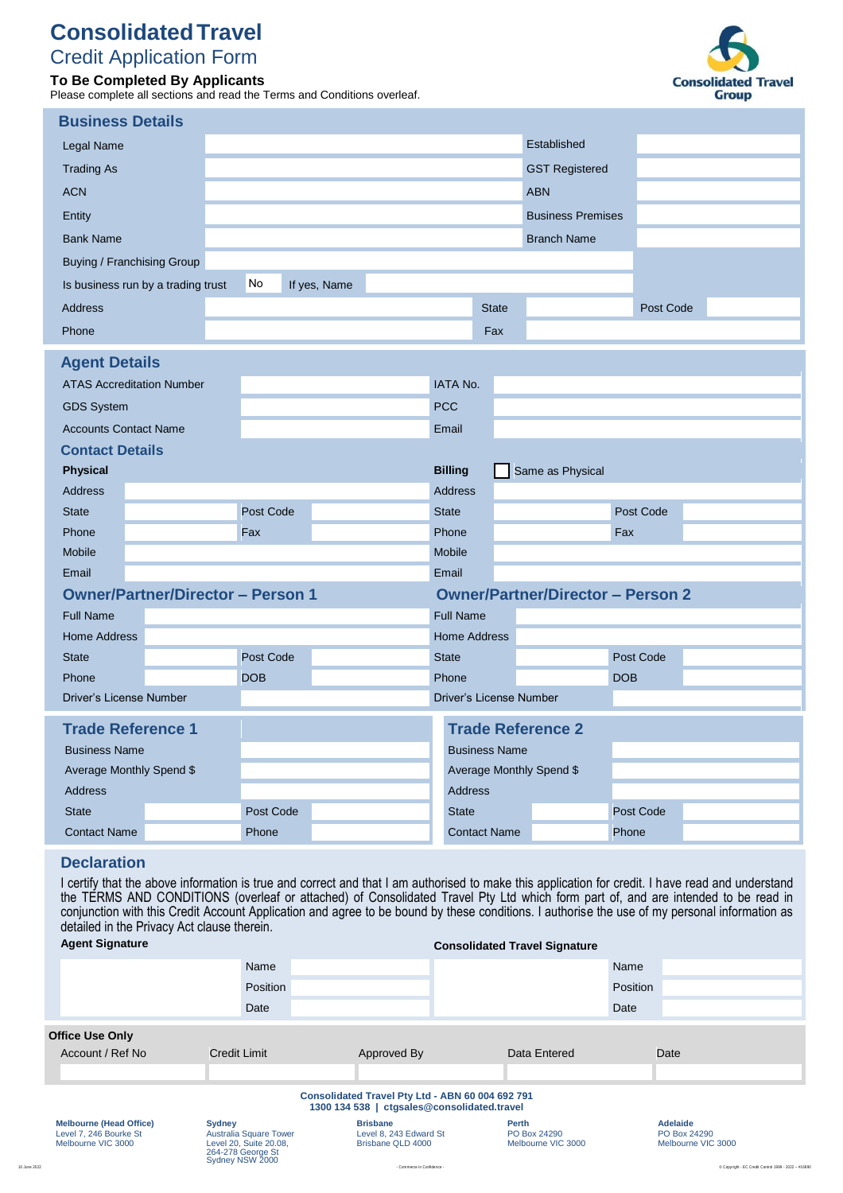# **ConsolidatedTravel**

# Credit Application Form **To Be Completed By Applicants**

Please complete all sections and read the Terms and Conditions overleaf.



| <b>Business Details</b>                                  |                                                    |            |                                          |                |                      |                     |                          |            |  |
|----------------------------------------------------------|----------------------------------------------------|------------|------------------------------------------|----------------|----------------------|---------------------|--------------------------|------------|--|
| Legal Name                                               |                                                    |            |                                          |                |                      |                     | Established              |            |  |
| <b>Trading As</b>                                        |                                                    |            |                                          |                |                      |                     | <b>GST Registered</b>    |            |  |
| <b>ACN</b>                                               |                                                    |            |                                          |                |                      |                     | <b>ABN</b>               |            |  |
| Entity                                                   |                                                    |            |                                          |                |                      |                     | <b>Business Premises</b> |            |  |
| <b>Bank Name</b>                                         |                                                    |            |                                          |                |                      |                     | <b>Branch Name</b>       |            |  |
| Buying / Franchising Group                               |                                                    |            |                                          |                |                      |                     |                          |            |  |
| No<br>If yes, Name<br>Is business run by a trading trust |                                                    |            |                                          |                |                      |                     |                          |            |  |
| Address                                                  |                                                    |            |                                          |                |                      | <b>State</b>        |                          | Post Code  |  |
| Phone                                                    |                                                    |            |                                          |                |                      | Fax                 |                          |            |  |
| <b>Agent Details</b>                                     |                                                    |            |                                          |                |                      |                     |                          |            |  |
|                                                          | <b>ATAS Accreditation Number</b>                   |            |                                          |                | <b>IATA No.</b>      |                     |                          |            |  |
| <b>GDS System</b>                                        |                                                    |            |                                          | <b>PCC</b>     |                      |                     |                          |            |  |
| <b>Accounts Contact Name</b>                             |                                                    |            |                                          | Email          |                      |                     |                          |            |  |
| <b>Contact Details</b>                                   |                                                    |            |                                          |                |                      |                     |                          |            |  |
| <b>Physical</b>                                          |                                                    |            |                                          | <b>Billing</b> |                      |                     | Same as Physical         |            |  |
| <b>Address</b>                                           |                                                    |            |                                          |                | <b>Address</b>       |                     |                          |            |  |
| <b>State</b>                                             |                                                    | Post Code  |                                          | <b>State</b>   |                      |                     |                          | Post Code  |  |
| Phone                                                    |                                                    | Fax        |                                          | Phone          |                      |                     |                          | Fax        |  |
| <b>Mobile</b>                                            |                                                    |            |                                          | <b>Mobile</b>  |                      |                     |                          |            |  |
| Email                                                    |                                                    |            |                                          | Email          |                      |                     |                          |            |  |
| <b>Owner/Partner/Director - Person 1</b>                 |                                                    |            | <b>Owner/Partner/Director - Person 2</b> |                |                      |                     |                          |            |  |
| <b>Full Name</b>                                         |                                                    |            |                                          |                | <b>Full Name</b>     |                     |                          |            |  |
| <b>Home Address</b>                                      |                                                    |            |                                          |                |                      | <b>Home Address</b> |                          |            |  |
| <b>State</b>                                             |                                                    | Post Code  |                                          | <b>State</b>   |                      |                     |                          | Post Code  |  |
| Phone                                                    |                                                    | <b>DOB</b> |                                          | Phone          |                      |                     |                          | <b>DOB</b> |  |
|                                                          | Driver's License Number<br>Driver's License Number |            |                                          |                |                      |                     |                          |            |  |
| <b>Trade Reference 1</b>                                 |                                                    |            | <b>Trade Reference 2</b>                 |                |                      |                     |                          |            |  |
| <b>Business Name</b>                                     |                                                    |            |                                          |                | <b>Business Name</b> |                     |                          |            |  |
| Average Monthly Spend \$                                 |                                                    |            | Average Monthly Spend \$                 |                |                      |                     |                          |            |  |
| <b>Address</b>                                           |                                                    |            |                                          |                | <b>Address</b>       |                     |                          |            |  |
| <b>State</b>                                             |                                                    | Post Code  |                                          |                | <b>State</b>         |                     |                          | Post Code  |  |
| <b>Contact Name</b>                                      |                                                    | Phone      |                                          |                |                      | <b>Contact Name</b> |                          | Phone      |  |

# **Declaration**

I certify that the above information is true and correct and that I am authorised to make this application for credit. I have read and understand the TERMS AND CONDITIONS (overleaf or attached) of Consolidated Travel Pty Ltd which form part of, and are intended to be read in conjunction with this Credit Account Application and agree to be bound by these conditions. I authorise the use of my personal information as detailed in the Privacy Act clause therein.

| <b>Agent Signature</b>                                                         |                                                                                                                  |                                                                                                 | <b>Consolidated Travel Signature</b>        |                                                       |  |
|--------------------------------------------------------------------------------|------------------------------------------------------------------------------------------------------------------|-------------------------------------------------------------------------------------------------|---------------------------------------------|-------------------------------------------------------|--|
|                                                                                | Name                                                                                                             |                                                                                                 |                                             | Name                                                  |  |
|                                                                                | Position                                                                                                         |                                                                                                 |                                             | Position                                              |  |
|                                                                                | Date                                                                                                             |                                                                                                 |                                             | Date                                                  |  |
| <b>Office Use Only</b>                                                         |                                                                                                                  |                                                                                                 |                                             |                                                       |  |
| Account / Ref No                                                               | <b>Credit Limit</b>                                                                                              | Approved By                                                                                     | Data Entered                                | Date                                                  |  |
|                                                                                |                                                                                                                  |                                                                                                 |                                             |                                                       |  |
|                                                                                |                                                                                                                  | Consolidated Travel Pty Ltd - ABN 60 004 692 791<br>1300 134 538   ctgsales@consolidated.travel |                                             |                                                       |  |
| <b>Melbourne (Head Office)</b><br>Level 7, 246 Bourke St<br>Melbourne VIC 3000 | <b>Sydney</b><br><b>Australia Square Tower</b><br>Level 20, Suite 20.08,<br>264-278 George St<br>Sydney NSW 2000 | <b>Brisbane</b><br>Level 8, 243 Edward St<br>Brisbane QLD 4000                                  | Perth<br>PO Box 24290<br>Melbourne VIC 3000 | <b>Adelaide</b><br>PO Box 24290<br>Melbourne VIC 3000 |  |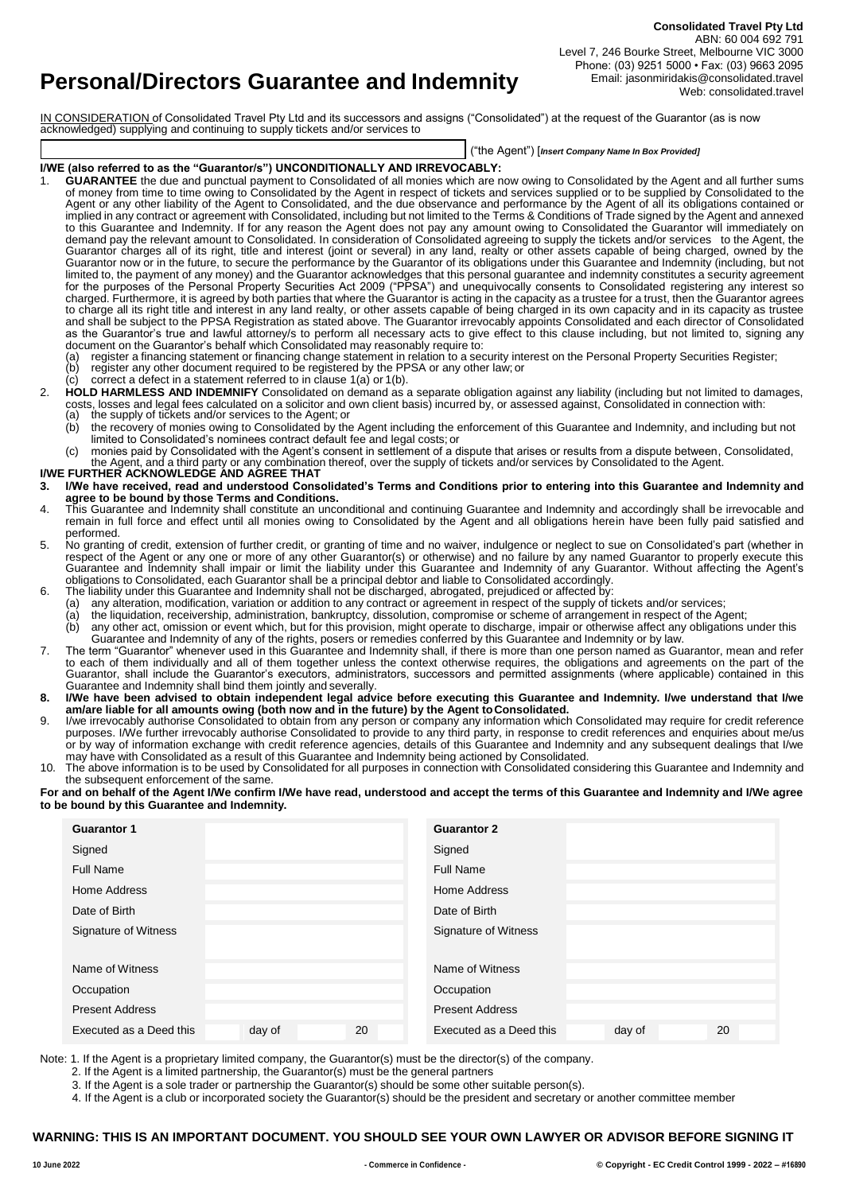**Personal/Directors Guarantee and Indemnity**

**Consolidated Travel Pty Ltd** ABN: 60 004 692 791 Level 7, 246 Bourke Street, Melbourne VIC 3000 Phone: (03) 9251 5000 • Fax: (03) 9663 2095 Email: jasonmiridakis@consolidated.travel Web: consolidated.travel

IN CONSIDERATION of Consolidated Travel Pty Ltd and its successors and assigns ("Consolidated") at the request of the Guarantor (as is now acknowledged) supplying and continuing to supply tickets and/or services to

("the Agent") [*Insert Company Name In Box Provided]*

## **I/WE (also referred to as the "Guarantor/s") UNCONDITIONALLY AND IRREVOCABLY:**

- 1. **GUARANTEE** the due and punctual payment to Consolidated of all monies which are now owing to Consolidated by the Agent and all further sums of money from time to time owing to Consolidated by the Agent in respect of tickets and services supplied or to be supplied by Consolidated to the Agent or any other liability of the Agent to Consolidated, and the due observance and performance by the Agent of all its obligations contained or implied in any contract or agreement with Consolidated, including but not limited to the Terms & Conditions of Trade signed by the Agent and annexed to this Guarantee and Indemnity. If for any reason the Agent does not pay any amount owing to Consolidated the Guarantor will immediately on demand pay the relevant amount to Consolidated. In consideration of Consolidated agreeing to supply the tickets and/or services to the Agent, the Guarantor charges all of its right, title and interest (joint or several) in any land, realty or other assets capable of being charged, owned by the Guarantor now or in the future, to secure the performance by the Guarantor of its obligations under this Guarantee and Indemnity (including, but not limited to, the payment of any money) and the Guarantor acknowledges that this personal guarantee and indemnity constitutes a security agreement for the purposes of the Personal Property Securities Act 2009 ("PPSA") and unequivocally consents to Consolidated registering any interest so charged. Furthermore, it is agreed by both parties that where the Guarantor is acting in the capacity as a trustee for a trust, then the Guarantor agrees to charge all its right title and interest in any land realty, or other assets capable of being charged in its own capacity and in its capacity as trustee and shall be subject to the PPSA Registration as stated above. The Guarantor irrevocably appoints Consolidated and each director of Consolidated as the Guarantor's true and lawful attorney/s to perform all necessary acts to give effect to this clause including, but not limited to, signing any document on the Guarantor's behalf which Consolidated may reasonably require to:
	- (a) register a financing statement or financing change statement in relation to a security interest on the Personal Property Securities Register;<br>(b) register any other document required to be registered by the PPSA or any register any other document required to be registered by the PPSA or any other law; or
	- (c) correct a defect in a statement referred to in clause 1(a) or 1(b).
- 2. **HOLD HARMLESS AND INDEMNIFY** Consolidated on demand as a separate obligation against any liability (including but not limited to damages, costs, losses and legal fees calculated on a solicitor and own client basis) incurred by, or assessed against, Consolidated in connection with: (a) the supply of tickets and/or services to the Agent; or
	- (b) the recovery of monies owing to Consolidated by the Agent including the enforcement of this Guarantee and Indemnity, and including but not limited to Consolidated's nominees contract default fee and legal costs; or
- (c) monies paid by Consolidated with the Agent's consent in settlement of a dispute that arises or results from a dispute between, Consolidated, the Agent, and a third party or any combination thereof, over the supply of tickets and/or services by Consolidated to the Agent. **I/WE FURTHER ACKNOWLEDGE AND AGREE THAT**

- **3. I/We have received, read and understood Consolidated's Terms and Conditions prior to entering into this Guarantee and Indemnity and agree to be bound by those Terms and Conditions.**
- 4. This Guarantee and Indemnity shall constitute an unconditional and continuing Guarantee and Indemnity and accordingly shall be irrevocable and remain in full force and effect until all monies owing to Consolidated by the Agent and all obligations herein have been fully paid satisfied and performed.
- 5. No granting of credit, extension of further credit, or granting of time and no waiver, indulgence or neglect to sue on Consolidated's part (whether in respect of the Agent or any one or more of any other Guarantor(s) or otherwise) and no failure by any named Guarantor to properly execute this Guarantee and Indemnity shall impair or limit the liability under this Guarantee and Indemnity of any Guarantor. Without affecting the Agent's obligations to Consolidated, each Guarantor shall be a principal debtor and liable to Consolidated accordingly.
- 6. The liability under this Guarantee and Indemnity shall not be discharged, abrogated, prejudiced or affected by:<br>(a) any alteration, modification, variation or addition to any contract or agreement in respect of the supp
	- (a) any alteration, modification, variation or addition to any contract or agreement in respect of the supply of tickets and/or services;<br>(a) the liquidation, receivership, administration, bankruptcy, dissolution, compromi
		- the liquidation, receivership, administration, bankruptcy, dissolution, compromise or scheme of arrangement in respect of the Agent;
	- (b) any other act, omission or event which, but for this provision, might operate to discharge, impair or otherwise affect any obligations under this Guarantee and Indemnity of any of the rights, posers or remedies conferred by this Guarantee and Indemnity or by law.
- 7. The term "Guarantor" whenever used in this Guarantee and Indemnity shall, if there is more than one person named as Guarantor, mean and refer to each of them individually and all of them together unless the context otherwise requires, the obligations and agreements on the part of the Guarantor, shall include the Guarantor's executors, administrators, successors and permitted assignments (where applicable) contained in this Guarantee and Indemnity shall bind them jointly and severally.
- **8. I/We have been advised to obtain independent legal advice before executing this Guarantee and Indemnity. I/we understand that I/we am/are liable for all amounts owing (both now and in the future) by the Agent toConsolidated.**
- 9. I/we irrevocably authorise Consolidated to obtain from any person or company any information which Consolidated may require for credit reference purposes. I/We further irrevocably authorise Consolidated to provide to any third party, in response to credit references and enquiries about me/us or by way of information exchange with credit reference agencies, details of this Guarantee and Indemnity and any subsequent dealings that I/we may have with Consolidated as a result of this Guarantee and Indemnity being actioned by Consolidated.
- 10. The above information is to be used by Consolidated for all purposes in connection with Consolidated considering this Guarantee and Indemnity and the subsequent enforcement of the same.

**For and on behalf of the Agent I/We confirm I/We have read, understood and accept the terms of this Guarantee and Indemnity and I/We agree to be bound by this Guarantee and Indemnity.**

| <b>Guarantor 1</b>      |        |    | <b>Guarantor 2</b>                      |
|-------------------------|--------|----|-----------------------------------------|
| Signed                  |        |    | Signed                                  |
| Full Name               |        |    | Full Name                               |
| <b>Home Address</b>     |        |    | Home Address                            |
| Date of Birth           |        |    | Date of Birth                           |
| Signature of Witness    |        |    | Signature of Witness                    |
| Name of Witness         |        |    | Name of Witness                         |
| Occupation              |        |    | Occupation                              |
| <b>Present Address</b>  |        |    | <b>Present Address</b>                  |
| Executed as a Deed this | day of | 20 | Executed as a Deed this<br>day of<br>20 |

Note: 1. If the Agent is a proprietary limited company, the Guarantor(s) must be the director(s) of the company.

- 2. If the Agent is a limited partnership, the Guarantor(s) must be the general partners
- 3. If the Agent is a sole trader or partnership the Guarantor(s) should be some other suitable person(s).

4. If the Agent is a club or incorporated society the Guarantor(s) should be the president and secretary or another committee member

# **WARNING: THIS IS AN IMPORTANT DOCUMENT. YOU SHOULD SEE YOUR OWN LAWYER OR ADVISOR BEFORE SIGNING IT**